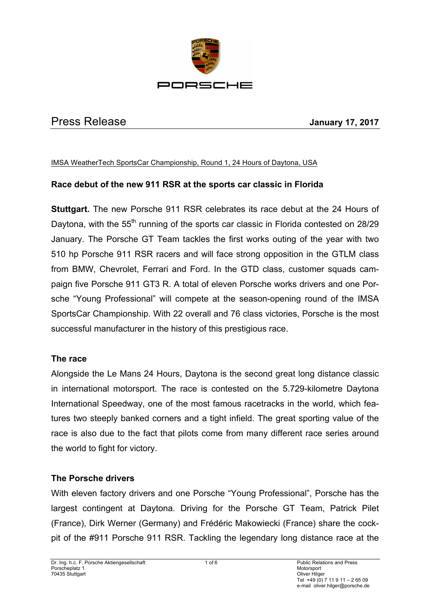

# Press Release **January 17, 2017**

#### IMSA WeatherTech SportsCar Championship, Round 1, 24 Hours of Daytona, USA

# **Race debut of the new 911 RSR at the sports car classic in Florida**

**Stuttgart.** The new Porsche 911 RSR celebrates its race debut at the 24 Hours of Daytona, with the  $55<sup>th</sup>$  running of the sports car classic in Florida contested on 28/29 January. The Porsche GT Team tackles the first works outing of the year with two 510 hp Porsche 911 RSR racers and will face strong opposition in the GTLM class from BMW, Chevrolet, Ferrari and Ford. In the GTD class, customer squads campaign five Porsche 911 GT3 R. A total of eleven Porsche works drivers and one Porsche "Young Professional" will compete at the season-opening round of the IMSA SportsCar Championship. With 22 overall and 76 class victories, Porsche is the most successful manufacturer in the history of this prestigious race.

#### **The race**

Alongside the Le Mans 24 Hours, Daytona is the second great long distance classic in international motorsport. The race is contested on the 5.729-kilometre Daytona International Speedway, one of the most famous racetracks in the world, which features two steeply banked corners and a tight infield. The great sporting value of the race is also due to the fact that pilots come from many different race series around the world to fight for victory.

# **The Porsche drivers**

With eleven factory drivers and one Porsche "Young Professional", Porsche has the largest contingent at Daytona. Driving for the Porsche GT Team, Patrick Pilet (France), Dirk Werner (Germany) and Frédéric Makowiecki (France) share the cockpit of the #911 Porsche 911 RSR. Tackling the legendary long distance race at the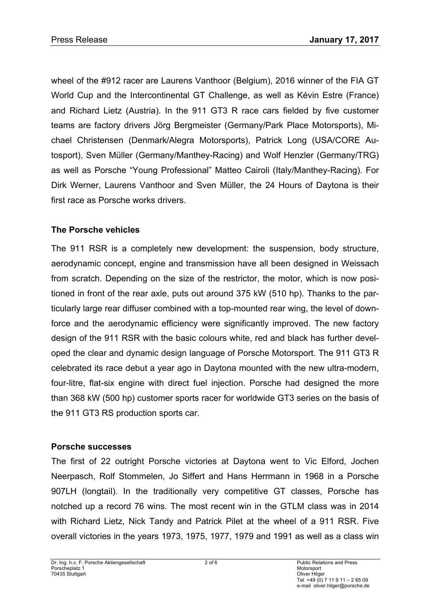wheel of the #912 racer are Laurens Vanthoor (Belgium), 2016 winner of the FIA GT World Cup and the Intercontinental GT Challenge, as well as Kévin Estre (France) and Richard Lietz (Austria). In the 911 GT3 R race cars fielded by five customer teams are factory drivers Jörg Bergmeister (Germany/Park Place Motorsports), Michael Christensen (Denmark/Alegra Motorsports), Patrick Long (USA/CORE Autosport), Sven Müller (Germany/Manthey-Racing) and Wolf Henzler (Germany/TRG) as well as Porsche "Young Professional" Matteo Cairoli (Italy/Manthey-Racing). For Dirk Werner, Laurens Vanthoor and Sven Müller, the 24 Hours of Daytona is their first race as Porsche works drivers.

# **The Porsche vehicles**

The 911 RSR is a completely new development: the suspension, body structure, aerodynamic concept, engine and transmission have all been designed in Weissach from scratch. Depending on the size of the restrictor, the motor, which is now positioned in front of the rear axle, puts out around 375 kW (510 hp). Thanks to the particularly large rear diffuser combined with a top-mounted rear wing, the level of downforce and the aerodynamic efficiency were significantly improved. The new factory design of the 911 RSR with the basic colours white, red and black has further developed the clear and dynamic design language of Porsche Motorsport. The 911 GT3 R celebrated its race debut a year ago in Daytona mounted with the new ultra-modern, four-litre, flat-six engine with direct fuel injection. Porsche had designed the more than 368 kW (500 hp) customer sports racer for worldwide GT3 series on the basis of the 911 GT3 RS production sports car.

# **Porsche successes**

The first of 22 outright Porsche victories at Daytona went to Vic Elford, Jochen Neerpasch, Rolf Stommelen, Jo Siffert and Hans Herrmann in 1968 in a Porsche 907LH (longtail). In the traditionally very competitive GT classes, Porsche has notched up a record 76 wins. The most recent win in the GTLM class was in 2014 with Richard Lietz, Nick Tandy and Patrick Pilet at the wheel of a 911 RSR. Five overall victories in the years 1973, 1975, 1977, 1979 and 1991 as well as a class win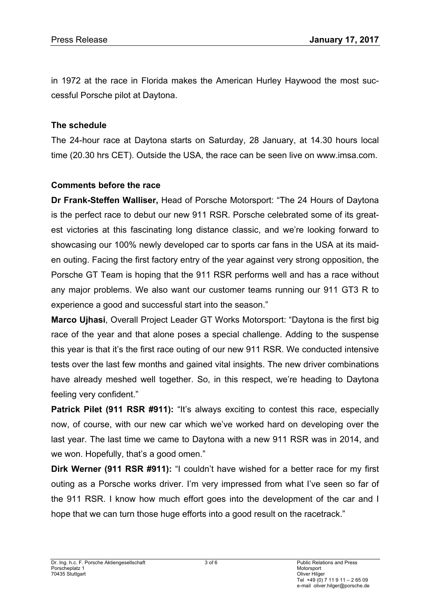in 1972 at the race in Florida makes the American Hurley Haywood the most successful Porsche pilot at Daytona.

#### **The schedule**

The 24-hour race at Daytona starts on Saturday, 28 January, at 14.30 hours local time (20.30 hrs CET). Outside the USA, the race can be seen live on www.imsa.com.

### **Comments before the race**

**Dr Frank-Steffen Walliser,** Head of Porsche Motorsport: "The 24 Hours of Daytona is the perfect race to debut our new 911 RSR. Porsche celebrated some of its greatest victories at this fascinating long distance classic, and we're looking forward to showcasing our 100% newly developed car to sports car fans in the USA at its maiden outing. Facing the first factory entry of the year against very strong opposition, the Porsche GT Team is hoping that the 911 RSR performs well and has a race without any major problems. We also want our customer teams running our 911 GT3 R to experience a good and successful start into the season."

**Marco Ujhasi**, Overall Project Leader GT Works Motorsport: "Daytona is the first big race of the year and that alone poses a special challenge. Adding to the suspense this year is that it's the first race outing of our new 911 RSR. We conducted intensive tests over the last few months and gained vital insights. The new driver combinations have already meshed well together. So, in this respect, we're heading to Daytona feeling very confident."

Patrick Pilet (911 RSR #911): "It's always exciting to contest this race, especially now, of course, with our new car which we've worked hard on developing over the last year. The last time we came to Daytona with a new 911 RSR was in 2014, and we won. Hopefully, that's a good omen."

**Dirk Werner (911 RSR #911):** "I couldn't have wished for a better race for my first outing as a Porsche works driver. I'm very impressed from what I've seen so far of the 911 RSR. I know how much effort goes into the development of the car and I hope that we can turn those huge efforts into a good result on the racetrack."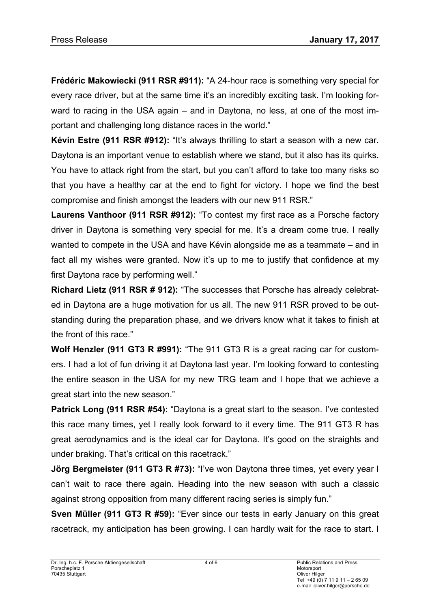**Frédéric Makowiecki (911 RSR #911):** "A 24-hour race is something very special for every race driver, but at the same time it's an incredibly exciting task. I'm looking forward to racing in the USA again – and in Daytona, no less, at one of the most important and challenging long distance races in the world."

**Kévin Estre (911 RSR #912):** "It's always thrilling to start a season with a new car. Daytona is an important venue to establish where we stand, but it also has its quirks. You have to attack right from the start, but you can't afford to take too many risks so that you have a healthy car at the end to fight for victory. I hope we find the best compromise and finish amongst the leaders with our new 911 RSR."

**Laurens Vanthoor (911 RSR #912):** "To contest my first race as a Porsche factory driver in Daytona is something very special for me. It's a dream come true. I really wanted to compete in the USA and have Kévin alongside me as a teammate – and in fact all my wishes were granted. Now it's up to me to justify that confidence at my first Daytona race by performing well."

**Richard Lietz (911 RSR # 912):** "The successes that Porsche has already celebrated in Daytona are a huge motivation for us all. The new 911 RSR proved to be outstanding during the preparation phase, and we drivers know what it takes to finish at the front of this race."

**Wolf Henzler (911 GT3 R #991):** "The 911 GT3 R is a great racing car for customers. I had a lot of fun driving it at Daytona last year. I'm looking forward to contesting the entire season in the USA for my new TRG team and I hope that we achieve a great start into the new season."

**Patrick Long (911 RSR #54):** "Daytona is a great start to the season. I've contested this race many times, yet I really look forward to it every time. The 911 GT3 R has great aerodynamics and is the ideal car for Daytona. It's good on the straights and under braking. That's critical on this racetrack."

**Jörg Bergmeister (911 GT3 R #73):** "I've won Daytona three times, yet every year I can't wait to race there again. Heading into the new season with such a classic against strong opposition from many different racing series is simply fun."

**Sven Müller (911 GT3 R #59):** "Ever since our tests in early January on this great racetrack, my anticipation has been growing. I can hardly wait for the race to start. I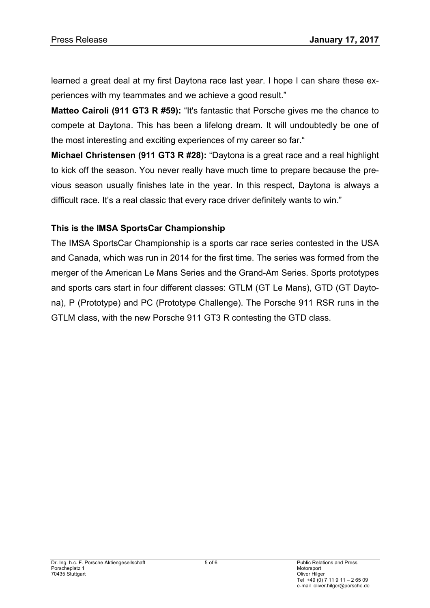learned a great deal at my first Daytona race last year. I hope I can share these experiences with my teammates and we achieve a good result."

**Matteo Cairoli (911 GT3 R #59):** "It's fantastic that Porsche gives me the chance to compete at Daytona. This has been a lifelong dream. It will undoubtedly be one of the most interesting and exciting experiences of my career so far."

**Michael Christensen (911 GT3 R #28):** "Daytona is a great race and a real highlight to kick off the season. You never really have much time to prepare because the previous season usually finishes late in the year. In this respect, Daytona is always a difficult race. It's a real classic that every race driver definitely wants to win."

### **This is the IMSA SportsCar Championship**

The IMSA SportsCar Championship is a sports car race series contested in the USA and Canada, which was run in 2014 for the first time. The series was formed from the merger of the American Le Mans Series and the Grand-Am Series. Sports prototypes and sports cars start in four different classes: GTLM (GT Le Mans), GTD (GT Daytona), P (Prototype) and PC (Prototype Challenge). The Porsche 911 RSR runs in the GTLM class, with the new Porsche 911 GT3 R contesting the GTD class.